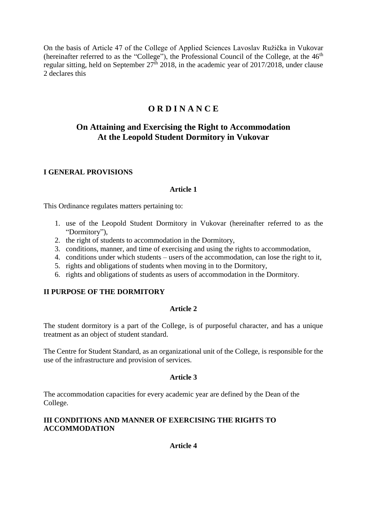On the basis of Article 47 of the College of Applied Sciences Lavoslav Ružička in Vukovar (hereinafter referred to as the "College"), the Professional Council of the College, at the  $46<sup>th</sup>$ regular sitting, held on September  $27<sup>th</sup>$  2018, in the academic year of 2017/2018, under clause 2 declares this

# **O R D I N A N C E**

# **On Attaining and Exercising the Right to Accommodation At the Leopold Student Dormitory in Vukovar**

#### **I GENERAL PROVISIONS**

#### **Article 1**

This Ordinance regulates matters pertaining to:

- 1. use of the Leopold Student Dormitory in Vukovar (hereinafter referred to as the "Dormitory"),
- 2. the right of students to accommodation in the Dormitory,
- 3. conditions, manner, and time of exercising and using the rights to accommodation,
- 4. conditions under which students users of the accommodation, can lose the right to it,
- 5. rights and obligations of students when moving in to the Dormitory,
- 6. rights and obligations of students as users of accommodation in the Dormitory.

### **II PURPOSE OF THE DORMITORY**

#### **Article 2**

The student dormitory is a part of the College, is of purposeful character, and has a unique treatment as an object of student standard.

The Centre for Student Standard, as an organizational unit of the College, is responsible for the use of the infrastructure and provision of services.

#### **Article 3**

The accommodation capacities for every academic year are defined by the Dean of the College.

### **III CONDITIONS AND MANNER OF EXERCISING THE RIGHTS TO ACCOMMODATION**

**Article 4**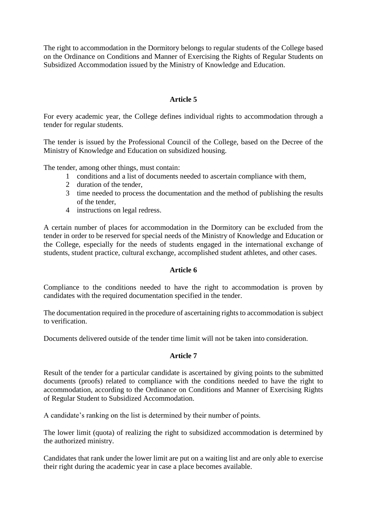The right to accommodation in the Dormitory belongs to regular students of the College based on the Ordinance on Conditions and Manner of Exercising the Rights of Regular Students on Subsidized Accommodation issued by the Ministry of Knowledge and Education.

#### **Article 5**

For every academic year, the College defines individual rights to accommodation through a tender for regular students.

The tender is issued by the Professional Council of the College, based on the Decree of the Ministry of Knowledge and Education on subsidized housing.

The tender, among other things, must contain:

- 1 conditions and a list of documents needed to ascertain compliance with them,
- 2 duration of the tender,
- 3 time needed to process the documentation and the method of publishing the results of the tender,
- 4 instructions on legal redress.

A certain number of places for accommodation in the Dormitory can be excluded from the tender in order to be reserved for special needs of the Ministry of Knowledge and Education or the College, especially for the needs of students engaged in the international exchange of students, student practice, cultural exchange, accomplished student athletes, and other cases.

#### **Article 6**

Compliance to the conditions needed to have the right to accommodation is proven by candidates with the required documentation specified in the tender.

The documentation required in the procedure of ascertaining rights to accommodation is subject to verification.

Documents delivered outside of the tender time limit will not be taken into consideration.

### **Article 7**

Result of the tender for a particular candidate is ascertained by giving points to the submitted documents (proofs) related to compliance with the conditions needed to have the right to accommodation, according to the Ordinance on Conditions and Manner of Exercising Rights of Regular Student to Subsidized Accommodation.

A candidate's ranking on the list is determined by their number of points.

The lower limit (quota) of realizing the right to subsidized accommodation is determined by the authorized ministry.

Candidates that rank under the lower limit are put on a waiting list and are only able to exercise their right during the academic year in case a place becomes available.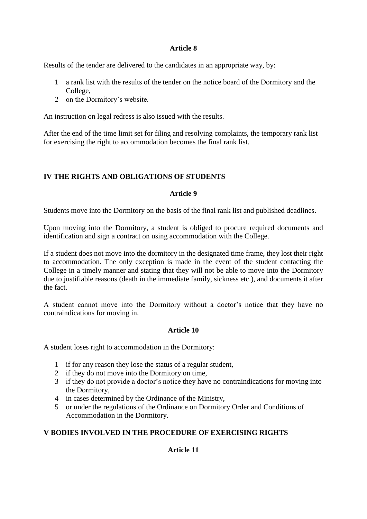### **Article 8**

Results of the tender are delivered to the candidates in an appropriate way, by:

- 1 a rank list with the results of the tender on the notice board of the Dormitory and the College,
- 2 on the Dormitory's website.

An instruction on legal redress is also issued with the results.

After the end of the time limit set for filing and resolving complaints, the temporary rank list for exercising the right to accommodation becomes the final rank list.

## **IV THE RIGHTS AND OBLIGATIONS OF STUDENTS**

#### **Article 9**

Students move into the Dormitory on the basis of the final rank list and published deadlines.

Upon moving into the Dormitory, a student is obliged to procure required documents and identification and sign a contract on using accommodation with the College.

If a student does not move into the dormitory in the designated time frame, they lost their right to accommodation. The only exception is made in the event of the student contacting the College in a timely manner and stating that they will not be able to move into the Dormitory due to justifiable reasons (death in the immediate family, sickness etc.), and documents it after the fact.

A student cannot move into the Dormitory without a doctor's notice that they have no contraindications for moving in.

### **Article 10**

A student loses right to accommodation in the Dormitory:

- 1 if for any reason they lose the status of a regular student,
- 2 if they do not move into the Dormitory on time,
- 3 if they do not provide a doctor's notice they have no contraindications for moving into the Dormitory,
- 4 in cases determined by the Ordinance of the Ministry,
- 5 or under the regulations of the Ordinance on Dormitory Order and Conditions of Accommodation in the Dormitory.

### **V BODIES INVOLVED IN THE PROCEDURE OF EXERCISING RIGHTS**

### **Article 11**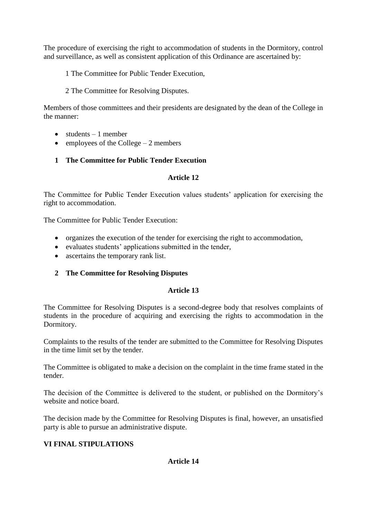The procedure of exercising the right to accommodation of students in the Dormitory, control and surveillance, as well as consistent application of this Ordinance are ascertained by:

1 The Committee for Public Tender Execution,

## 2 The Committee for Resolving Disputes.

Members of those committees and their presidents are designated by the dean of the College in the manner:

- $\bullet$  students  $-1$  member
- $\bullet$  employees of the College 2 members

## **1 The Committee for Public Tender Execution**

## **Article 12**

The Committee for Public Tender Execution values students' application for exercising the right to accommodation.

The Committee for Public Tender Execution:

- organizes the execution of the tender for exercising the right to accommodation,
- evaluates students' applications submitted in the tender,
- ascertains the temporary rank list.

## **2 The Committee for Resolving Disputes**

### **Article 13**

The Committee for Resolving Disputes is a second-degree body that resolves complaints of students in the procedure of acquiring and exercising the rights to accommodation in the Dormitory.

Complaints to the results of the tender are submitted to the Committee for Resolving Disputes in the time limit set by the tender.

The Committee is obligated to make a decision on the complaint in the time frame stated in the tender.

The decision of the Committee is delivered to the student, or published on the Dormitory's website and notice board.

The decision made by the Committee for Resolving Disputes is final, however, an unsatisfied party is able to pursue an administrative dispute.

## **VI FINAL STIPULATIONS**

## **Article 14**